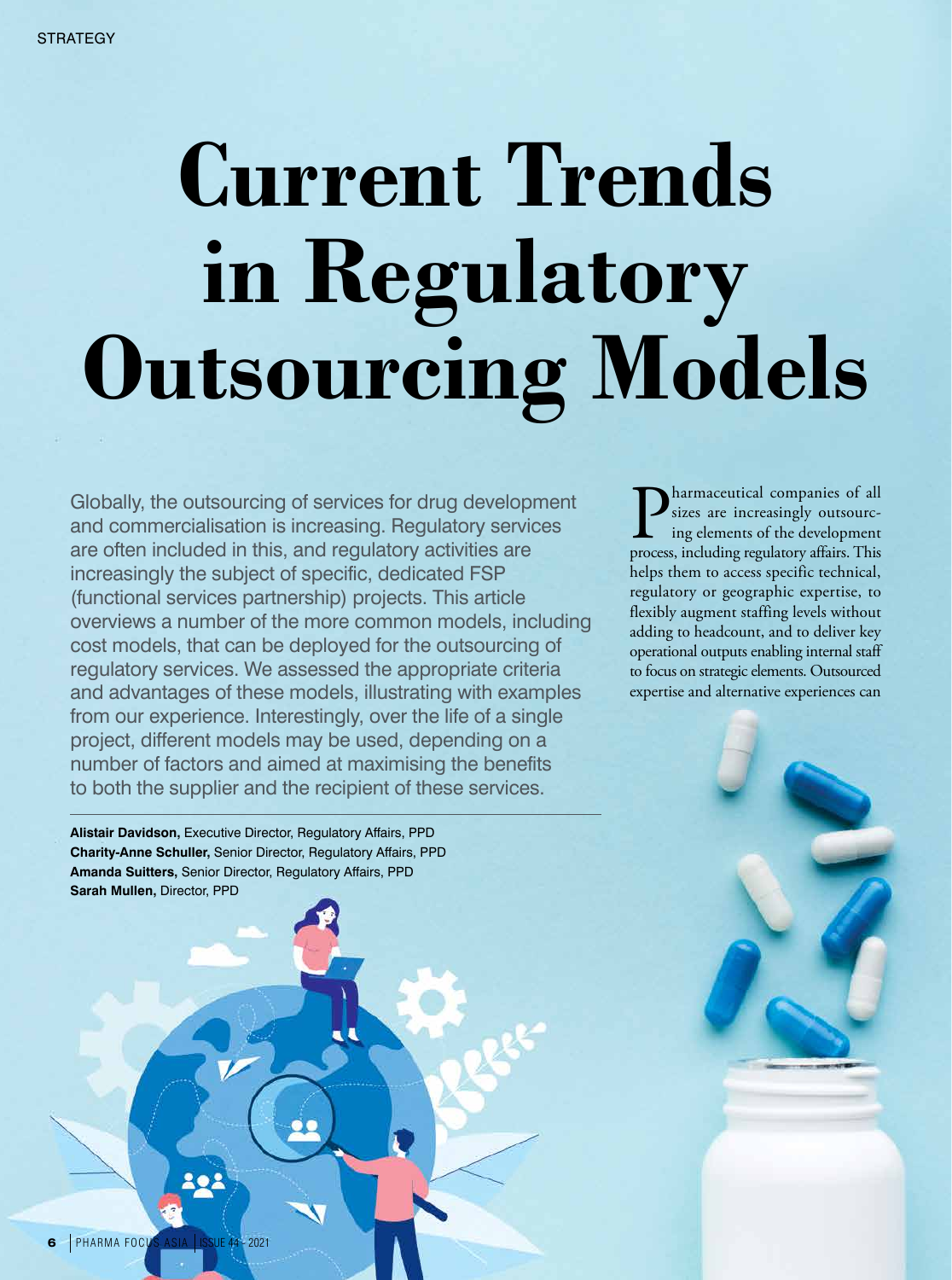# **Current Trends in Regulatory Outsourcing Models**

Globally, the outsourcing of services for drug development and commercialisation is increasing. Regulatory services are often included in this, and regulatory activities are increasingly the subject of specific, dedicated FSP (functional services partnership) projects. This article overviews a number of the more common models, including cost models, that can be deployed for the outsourcing of regulatory services. We assessed the appropriate criteria and advantages of these models, illustrating with examples from our experience. Interestingly, over the life of a single project, different models may be used, depending on a number of factors and aimed at maximising the benefits to both the supplier and the recipient of these services.

**Alistair Davidson,** Executive Director, Regulatory Affairs, PPD **Charity-Anne Schuller,** Senior Director, Regulatory Affairs, PPD **Amanda Suitters,** Senior Director, Regulatory Affairs, PPD **Sarah Mullen,** Director, PPD

**P** sizes are increasingly outsourcing elements of the development process, including regulatory affairs. This sizes are increasingly outsourcing elements of the development helps them to access specific technical, regulatory or geographic expertise, to flexibly augment staffing levels without adding to headcount, and to deliver key operational outputs enabling internal staff to focus on strategic elements. Outsourced expertise and alternative experiences can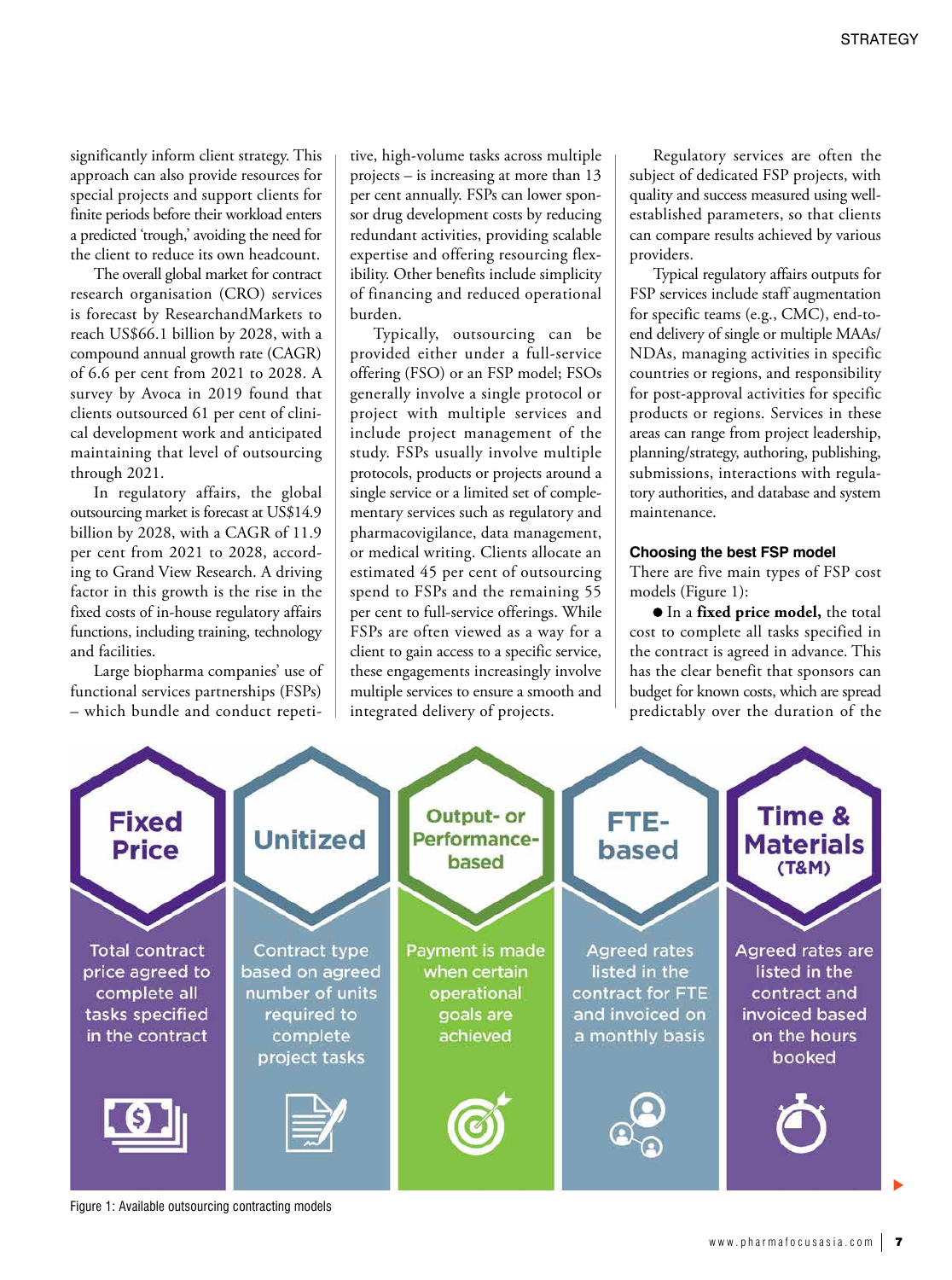significantly inform client strategy. This approach can also provide resources for special projects and support clients for finite periods before their workload enters a predicted 'trough,' avoiding the need for the client to reduce its own headcount.

The overall global market for contract research organisation (CRO) services is forecast by ResearchandMarkets to reach US\$66.1 billion by 2028, with a compound annual growth rate (CAGR) of 6.6 per cent from 2021 to 2028. A survey by Avoca in 2019 found that clients outsourced 61 per cent of clinical development work and anticipated maintaining that level of outsourcing through 2021.

In regulatory affairs, the global outsourcing market is forecast at US\$14.9 billion by 2028, with a CAGR of 11.9 per cent from 2021 to 2028, according to Grand View Research. A driving factor in this growth is the rise in the fixed costs of in-house regulatory affairs functions, including training, technology and facilities.

Large biopharma companies' use of functional services partnerships (FSPs) – which bundle and conduct repeti-

tive, high-volume tasks across multiple projects – is increasing at more than 13 per cent annually. FSPs can lower sponsor drug development costs by reducing redundant activities, providing scalable expertise and offering resourcing flexibility. Other benefits include simplicity of financing and reduced operational burden.

Typically, outsourcing can be provided either under a full-service offering (FSO) or an FSP model; FSOs generally involve a single protocol or project with multiple services and include project management of the study. FSPs usually involve multiple protocols, products or projects around a single service or a limited set of complementary services such as regulatory and pharmacovigilance, data management, or medical writing. Clients allocate an estimated 45 per cent of outsourcing spend to FSPs and the remaining 55 per cent to full-service offerings. While FSPs are often viewed as a way for a client to gain access to a specific service, these engagements increasingly involve multiple services to ensure a smooth and integrated delivery of projects.

Regulatory services are often the subject of dedicated FSP projects, with quality and success measured using wellestablished parameters, so that clients can compare results achieved by various providers.

Typical regulatory affairs outputs for FSP services include staff augmentation for specific teams (e.g., CMC), end-toend delivery of single or multiple MAAs/ NDAs, managing activities in specific countries or regions, and responsibility for post-approval activities for specific products or regions. Services in these areas can range from project leadership, planning/strategy, authoring, publishing, submissions, interactions with regulatory authorities, and database and system maintenance.

#### **Choosing the best FSP model**

There are five main types of FSP cost models (Figure 1):

 In a **fixed price model,** the total cost to complete all tasks specified in the contract is agreed in advance. This has the clear benefit that sponsors can budget for known costs, which are spread predictably over the duration of the



Figure 1: Available outsourcing contracting models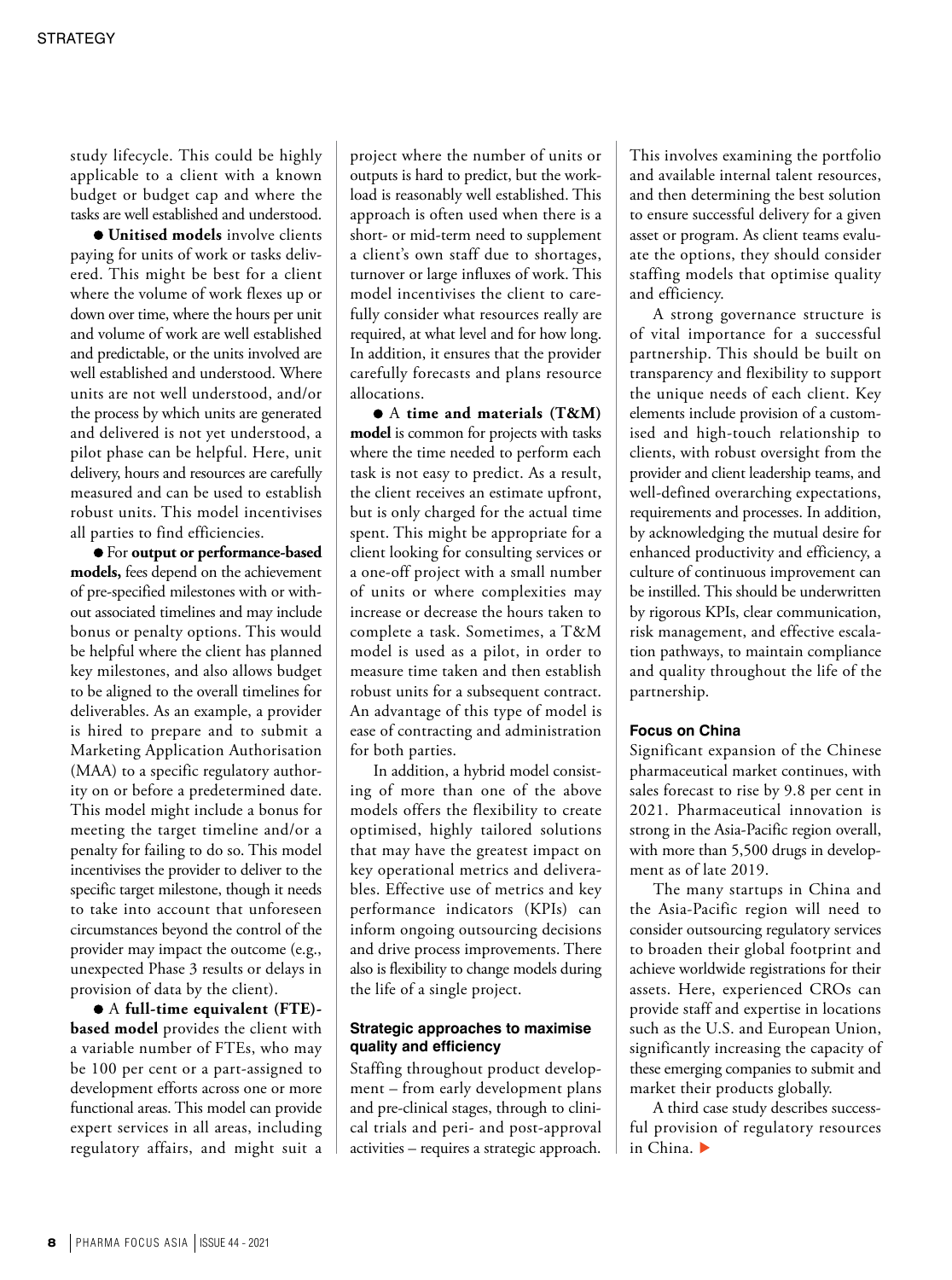study lifecycle. This could be highly applicable to a client with a known budget or budget cap and where the tasks are well established and understood.

**Unitised models** involve clients paying for units of work or tasks delivered. This might be best for a client where the volume of work flexes up or down over time, where the hours per unit and volume of work are well established and predictable, or the units involved are well established and understood. Where units are not well understood, and/or the process by which units are generated and delivered is not yet understood, a pilot phase can be helpful. Here, unit delivery, hours and resources are carefully measured and can be used to establish robust units. This model incentivises all parties to find efficiencies.

 For **output or performance-based models,** fees depend on the achievement of pre-specified milestones with or without associated timelines and may include bonus or penalty options. This would be helpful where the client has planned key milestones, and also allows budget to be aligned to the overall timelines for deliverables. As an example, a provider is hired to prepare and to submit a Marketing Application Authorisation (MAA) to a specific regulatory authority on or before a predetermined date. This model might include a bonus for meeting the target timeline and/or a penalty for failing to do so. This model incentivises the provider to deliver to the specific target milestone, though it needs to take into account that unforeseen circumstances beyond the control of the provider may impact the outcome (e.g., unexpected Phase 3 results or delays in provision of data by the client).

 A **full-time equivalent (FTE) based model** provides the client with a variable number of FTEs, who may be 100 per cent or a part-assigned to development efforts across one or more functional areas. This model can provide expert services in all areas, including regulatory affairs, and might suit a

project where the number of units or outputs is hard to predict, but the workload is reasonably well established. This approach is often used when there is a short- or mid-term need to supplement a client's own staff due to shortages, turnover or large influxes of work. This model incentivises the client to carefully consider what resources really are required, at what level and for how long. In addition, it ensures that the provider carefully forecasts and plans resource allocations.

 A **time and materials (T&M) model** is common for projects with tasks where the time needed to perform each task is not easy to predict. As a result, the client receives an estimate upfront, but is only charged for the actual time spent. This might be appropriate for a client looking for consulting services or a one-off project with a small number of units or where complexities may increase or decrease the hours taken to complete a task. Sometimes, a T&M model is used as a pilot, in order to measure time taken and then establish robust units for a subsequent contract. An advantage of this type of model is ease of contracting and administration for both parties.

In addition, a hybrid model consisting of more than one of the above models offers the flexibility to create optimised, highly tailored solutions that may have the greatest impact on key operational metrics and deliverables. Effective use of metrics and key performance indicators (KPIs) can inform ongoing outsourcing decisions and drive process improvements. There also is flexibility to change models during the life of a single project.

## **Strategic approaches to maximise quality and efficiency**

Staffing throughout product development – from early development plans and pre-clinical stages, through to clinical trials and peri- and post-approval activities – requires a strategic approach. This involves examining the portfolio and available internal talent resources, and then determining the best solution to ensure successful delivery for a given asset or program. As client teams evaluate the options, they should consider staffing models that optimise quality and efficiency.

A strong governance structure is of vital importance for a successful partnership. This should be built on transparency and flexibility to support the unique needs of each client. Key elements include provision of a customised and high-touch relationship to clients, with robust oversight from the provider and client leadership teams, and well-defined overarching expectations, requirements and processes. In addition, by acknowledging the mutual desire for enhanced productivity and efficiency, a culture of continuous improvement can be instilled. This should be underwritten by rigorous KPIs, clear communication, risk management, and effective escalation pathways, to maintain compliance and quality throughout the life of the partnership.

### **Focus on China**

Significant expansion of the Chinese pharmaceutical market continues, with sales forecast to rise by 9.8 per cent in 2021. Pharmaceutical innovation is strong in the Asia-Pacific region overall, with more than 5,500 drugs in development as of late 2019.

The many startups in China and the Asia-Pacific region will need to consider outsourcing regulatory services to broaden their global footprint and achieve worldwide registrations for their assets. Here, experienced CROs can provide staff and expertise in locations such as the U.S. and European Union, significantly increasing the capacity of these emerging companies to submit and market their products globally.

A third case study describes successful provision of regulatory resources in China.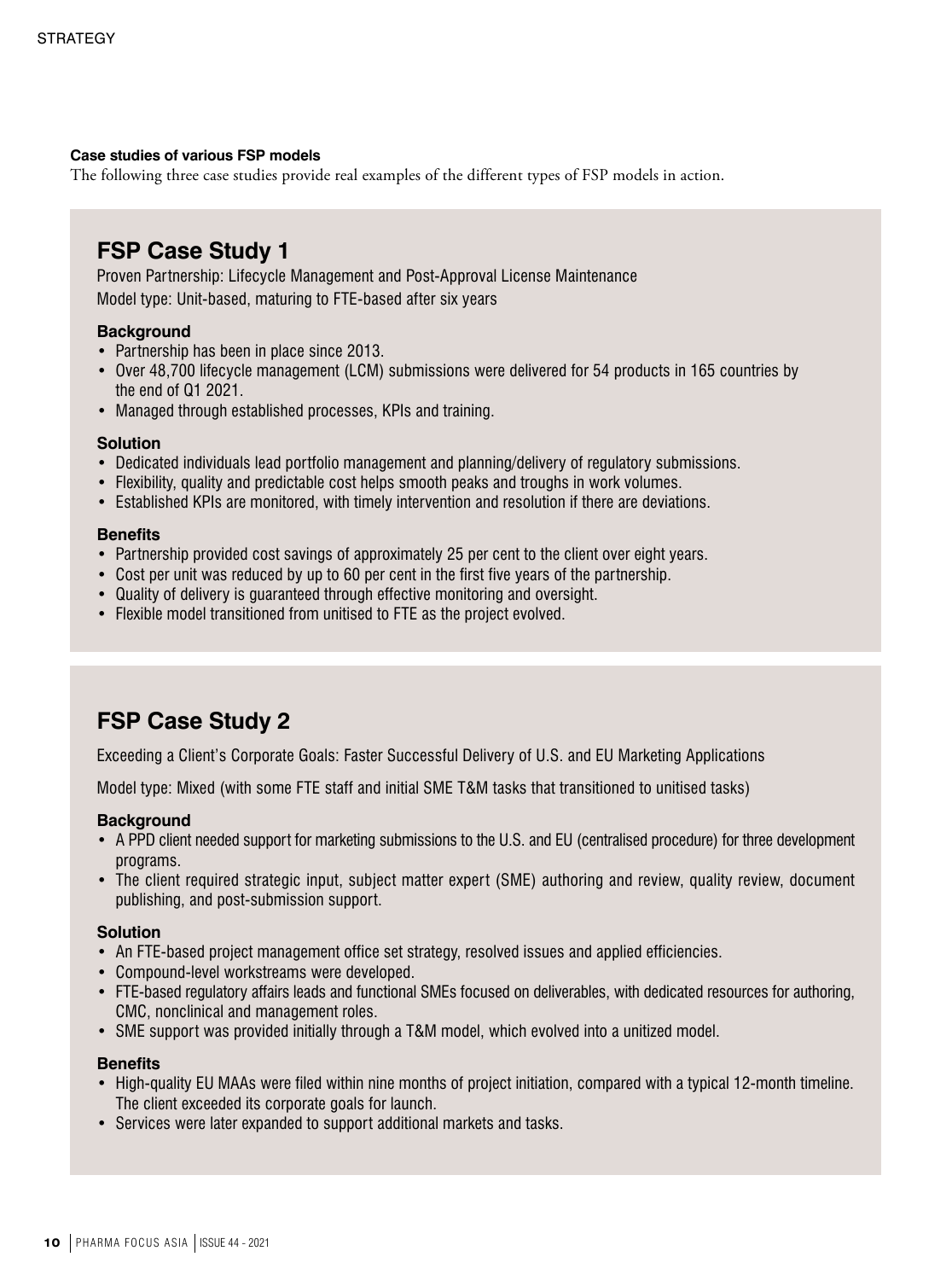## **Case studies of various FSP models**

The following three case studies provide real examples of the different types of FSP models in action.

## **FSP Case Study 1**

Proven Partnership: Lifecycle Management and Post-Approval License Maintenance Model type: Unit-based, maturing to FTE-based after six years

## **Background**

- Partnership has been in place since 2013.
- Over 48,700 lifecycle management (LCM) submissions were delivered for 54 products in 165 countries by the end of Q1 2021.
- Managed through established processes, KPIs and training.

## **Solution**

- Dedicated individuals lead portfolio management and planning/delivery of regulatory submissions.
- Flexibility, quality and predictable cost helps smooth peaks and troughs in work volumes.
- Established KPIs are monitored, with timely intervention and resolution if there are deviations.

## **Benefits**

- Partnership provided cost savings of approximately 25 per cent to the client over eight years.
- Cost per unit was reduced by up to 60 per cent in the first five years of the partnership.
- Quality of delivery is guaranteed through effective monitoring and oversight.
- Flexible model transitioned from unitised to FTE as the project evolved.

# **FSP Case Study 2**

Exceeding a Client's Corporate Goals: Faster Successful Delivery of U.S. and EU Marketing Applications

Model type: Mixed (with some FTE staff and initial SME T&M tasks that transitioned to unitised tasks)

## **Background**

- A PPD client needed support for marketing submissions to the U.S. and EU (centralised procedure) for three development programs.
- The client required strategic input, subject matter expert (SME) authoring and review, quality review, document publishing, and post-submission support.

## **Solution**

- An FTE-based project management office set strategy, resolved issues and applied efficiencies.
- Compound-level workstreams were developed.
- FTE-based regulatory affairs leads and functional SMEs focused on deliverables, with dedicated resources for authoring, CMC, nonclinical and management roles.
- SME support was provided initially through a T&M model, which evolved into a unitized model.

## **Benefits**

- High-quality EU MAAs were filed within nine months of project initiation, compared with a typical 12-month timeline. The client exceeded its corporate goals for launch.
- Services were later expanded to support additional markets and tasks.